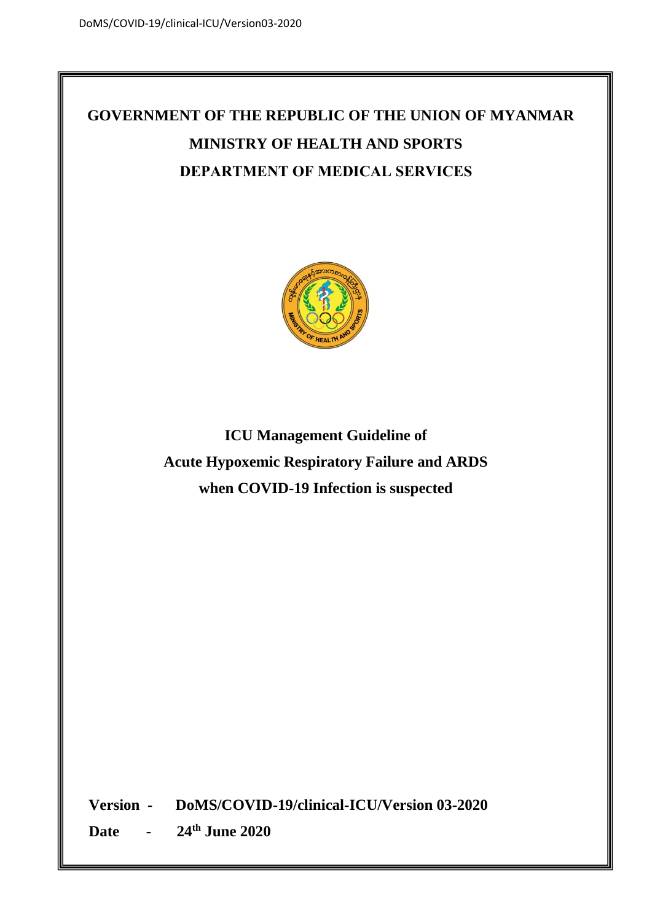# **GOVERNMENT OF THE REPUBLIC OF THE UNION OF MYANMAR MINISTRY OF HEALTH AND SPORTS DEPARTMENT OF MEDICAL SERVICES**



**ICU Management Guideline of Acute Hypoxemic Respiratory Failure and ARDS when COVID-19 Infection is suspected**

**Version - DoMS/COVID-19/clinical-ICU/Version 03-2020**

**Date - 24th June 2020**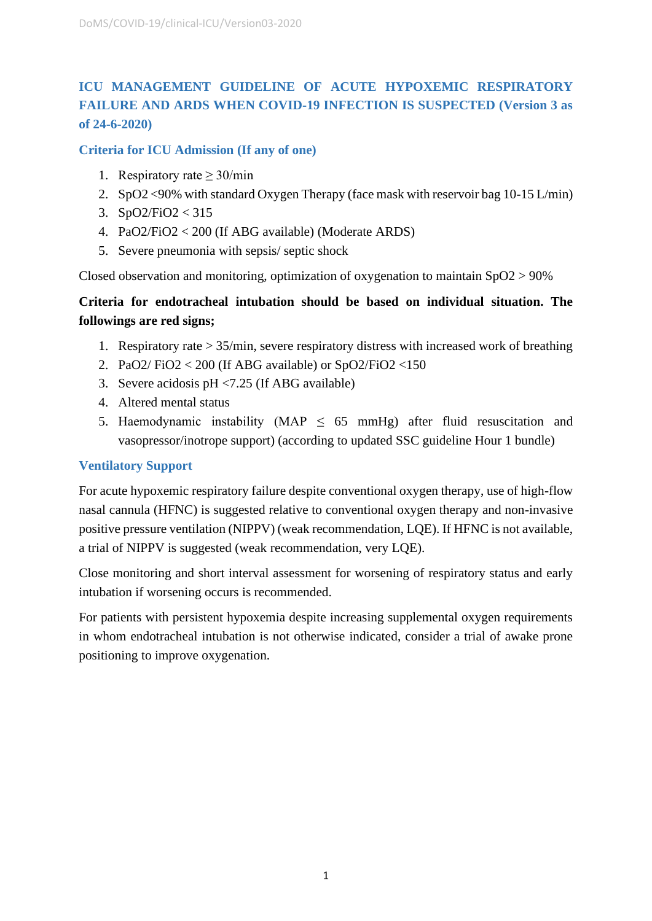## **ICU MANAGEMENT GUIDELINE OF ACUTE HYPOXEMIC RESPIRATORY FAILURE AND ARDS WHEN COVID-19 INFECTION IS SUSPECTED (Version 3 as of 24-6-2020)**

**Criteria for ICU Admission (If any of one)**

- 1. Respiratory rate  $\geq$  30/min
- 2. SpO2 <90% with standard Oxygen Therapy (face mask with reservoir bag 10-15 L/min)
- 3. SpO2/FiO2 < 315
- 4. PaO2/FiO2 < 200 (If ABG available) (Moderate ARDS)
- 5. Severe pneumonia with sepsis/ septic shock

Closed observation and monitoring, optimization of oxygenation to maintain SpO2 > 90%

## **Criteria for endotracheal intubation should be based on individual situation. The followings are red signs;**

- 1. Respiratory rate > 35/min, severe respiratory distress with increased work of breathing
- 2. PaO2/FiO2 < 200 (If ABG available) or  $SpO2/FiO2$  < 150
- 3. Severe acidosis pH <7.25 (If ABG available)
- 4. Altered mental status
- 5. Haemodynamic instability (MAP  $\leq$  65 mmHg) after fluid resuscitation and vasopressor/inotrope support) (according to updated SSC guideline Hour 1 bundle)

#### **Ventilatory Support**

For acute hypoxemic respiratory failure despite conventional oxygen therapy, use of high-flow nasal cannula (HFNC) is suggested relative to conventional oxygen therapy and non-invasive positive pressure ventilation (NIPPV) (weak recommendation, LQE). If HFNC is not available, a trial of NIPPV is suggested (weak recommendation, very LQE).

Close monitoring and short interval assessment for worsening of respiratory status and early intubation if worsening occurs is recommended.

For patients with persistent hypoxemia despite increasing supplemental oxygen requirements in whom endotracheal intubation is not otherwise indicated, consider a trial of awake prone positioning to improve oxygenation.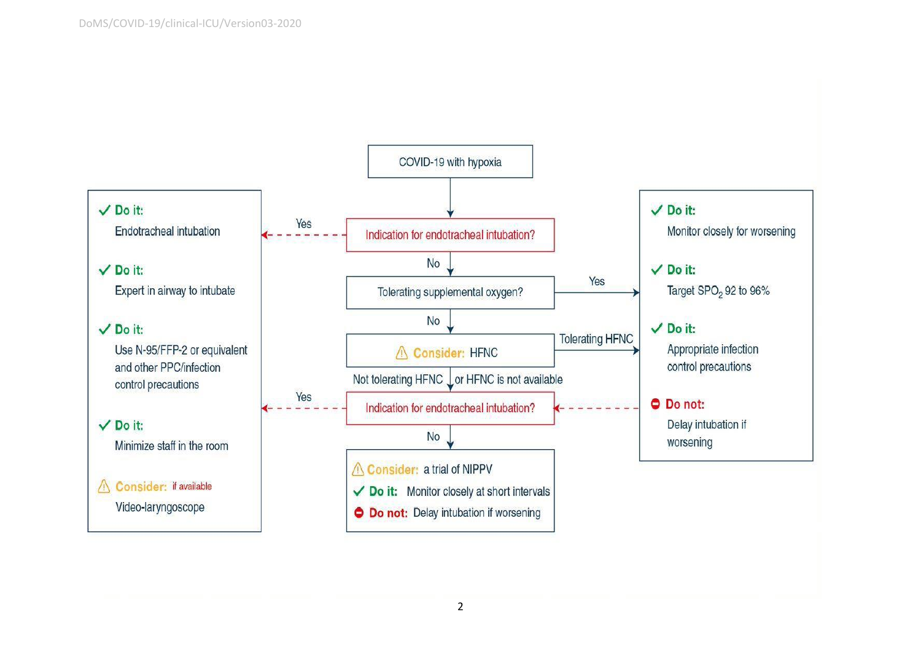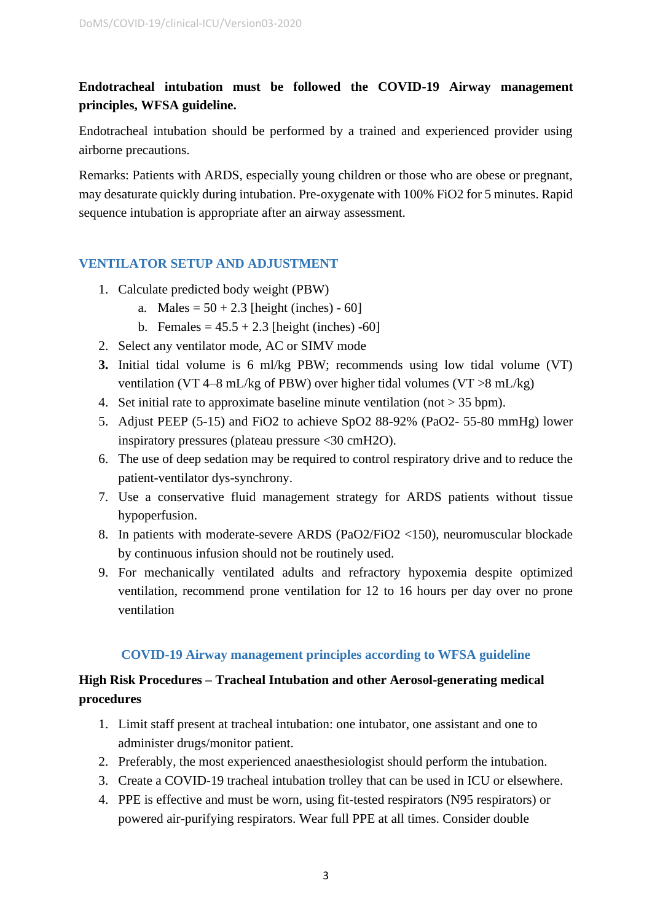## **Endotracheal intubation must be followed the COVID-19 Airway management principles, WFSA guideline.**

Endotracheal intubation should be performed by a trained and experienced provider using airborne precautions.

Remarks: Patients with ARDS, especially young children or those who are obese or pregnant, may desaturate quickly during intubation. Pre-oxygenate with 100% FiO2 for 5 minutes. Rapid sequence intubation is appropriate after an airway assessment.

### **VENTILATOR SETUP AND ADJUSTMENT**

- 1. Calculate predicted body weight (PBW)
	- a. Males =  $50 + 2.3$  [height (inches) 60]
	- b. Females =  $45.5 + 2.3$  [height (inches) -60]
- 2. Select any ventilator mode, AC or SIMV mode
- **3.** Initial tidal volume is 6 ml/kg PBW; recommends using low tidal volume (VT) ventilation (VT 4–8 mL/kg of PBW) over higher tidal volumes (VT  $>8$  mL/kg)
- 4. Set initial rate to approximate baseline minute ventilation (not  $> 35$  bpm).
- 5. Adjust PEEP (5-15) and FiO2 to achieve SpO2 88-92% (PaO2- 55-80 mmHg) lower inspiratory pressures (plateau pressure <30 cmH2O).
- 6. The use of deep sedation may be required to control respiratory drive and to reduce the patient-ventilator dys-synchrony.
- 7. Use a conservative fluid management strategy for ARDS patients without tissue hypoperfusion.
- 8. In patients with moderate-severe ARDS (PaO2/FiO2 <150), neuromuscular blockade by continuous infusion should not be routinely used.
- 9. For mechanically ventilated adults and refractory hypoxemia despite optimized ventilation, recommend prone ventilation for 12 to 16 hours per day over no prone ventilation

### **COVID-19 Airway management principles according to WFSA guideline**

## **High Risk Procedures – Tracheal Intubation and other Aerosol-generating medical procedures**

- 1. Limit staff present at tracheal intubation: one intubator, one assistant and one to administer drugs/monitor patient.
- 2. Preferably, the most experienced anaesthesiologist should perform the intubation.
- 3. Create a COVID-19 tracheal intubation trolley that can be used in ICU or elsewhere.
- 4. PPE is effective and must be worn, using fit-tested respirators (N95 respirators) or powered air-purifying respirators. Wear full PPE at all times. Consider double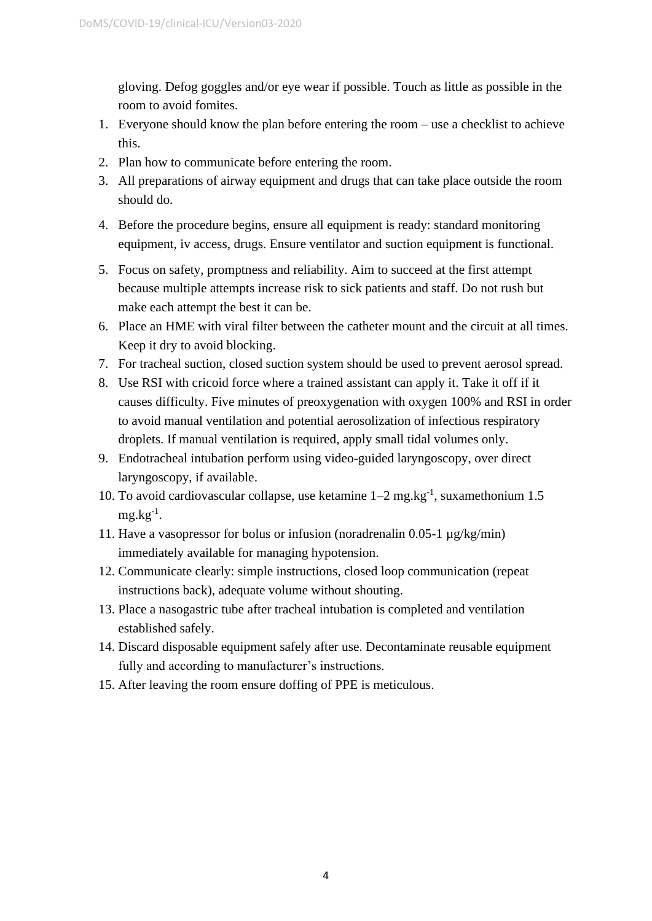gloving. Defog goggles and/or eye wear if possible. Touch as little as possible in the room to avoid fomites.

- 1. Everyone should know the plan before entering the room use a checklist to achieve this.
- 2. Plan how to communicate before entering the room.
- 3. All preparations of airway equipment and drugs that can take place outside the room should do.
- 4. Before the procedure begins, ensure all equipment is ready: standard monitoring equipment, iv access, drugs. Ensure ventilator and suction equipment is functional.
- 5. Focus on safety, promptness and reliability. Aim to succeed at the first attempt because multiple attempts increase risk to sick patients and staff. Do not rush but make each attempt the best it can be.
- 6. Place an HME with viral filter between the catheter mount and the circuit at all times. Keep it dry to avoid blocking.
- 7. For tracheal suction, closed suction system should be used to prevent aerosol spread.
- 8. Use RSI with cricoid force where a trained assistant can apply it. Take it off if it causes difficulty. Five minutes of preoxygenation with oxygen 100% and RSI in order to avoid manual ventilation and potential aerosolization of infectious respiratory droplets. If manual ventilation is required, apply small tidal volumes only.
- 9. Endotracheal intubation perform using video-guided laryngoscopy, over direct laryngoscopy, if available.
- 10. To avoid cardiovascular collapse, use ketamine  $1-2$  mg.kg<sup>-1</sup>, suxamethonium 1.5  $mg \cdot kg^{-1}$ .
- 11. Have a vasopressor for bolus or infusion (noradrenalin 0.05-1 µg/kg/min) immediately available for managing hypotension.
- 12. Communicate clearly: simple instructions, closed loop communication (repeat instructions back), adequate volume without shouting.
- 13. Place a nasogastric tube after tracheal intubation is completed and ventilation established safely.
- 14. Discard disposable equipment safely after use. Decontaminate reusable equipment fully and according to manufacturer's instructions.
- 15. After leaving the room ensure doffing of PPE is meticulous.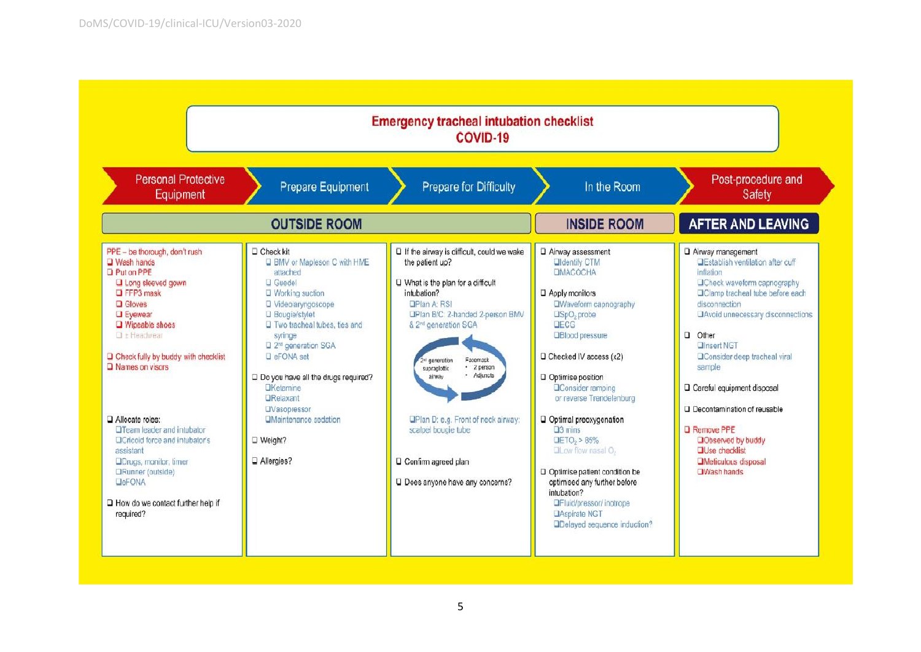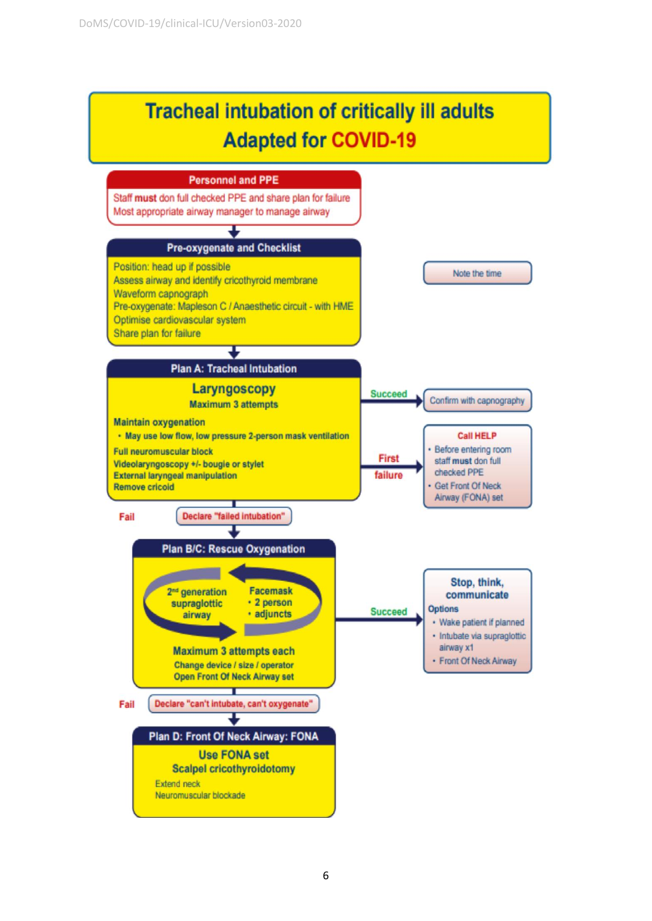